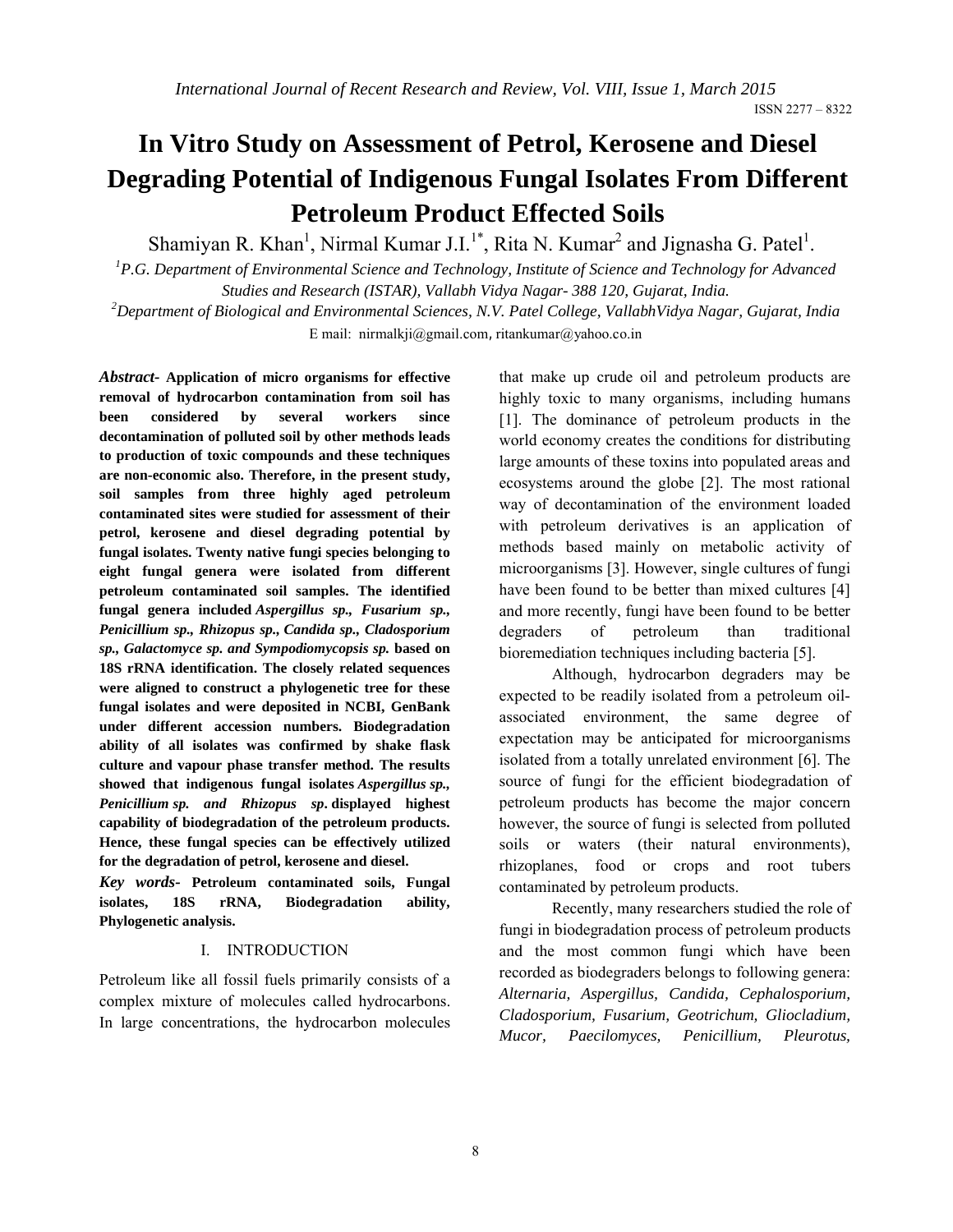# **In Vitro Study on Assessment of Petrol, Kerosene and Diesel Degrading Potential of Indigenous Fungal Isolates From Different Petroleum Product Effected Soils**

Shamiyan R. Khan<sup>1</sup>, Nirmal Kumar J.I.<sup>1\*</sup>, Rita N. Kumar<sup>2</sup> and Jignasha G. Patel<sup>1</sup>.

<sup>1</sup> P.G. Department of Environmental Science and Technology, Institute of Science and Technology for Advanced *Studies and Research (ISTAR), Vallabh Vidya Nagar- 388 120, Gujarat, India.*

*2 Department of Biological and Environmental Sciences, N.V. Patel College, VallabhVidya Nagar, Gujarat, India* E mail: nirmalkji@gmail.com, ritankumar@yahoo.co.in

*Abstract-* **Application of micro organisms for effective removal of hydrocarbon contamination from soil has been considered by several workers since decontamination of polluted soil by other methods leads to production of toxic compounds and these techniques are non-economic also. Therefore, in the present study, soil samples from three highly aged petroleum contaminated sites were studied for assessment of their petrol, kerosene and diesel degrading potential by fungal isolates. Twenty native fungi species belonging to eight fungal genera were isolated from different petroleum contaminated soil samples. The identified fungal genera included** *Aspergillus sp., Fusarium sp., Penicillium sp., Rhizopus sp., Candida sp., Cladosporium sp., Galactomyce sp. and Sympodiomycopsis sp.* **based on 18S rRNA identification. The closely related sequences were aligned to construct a phylogenetic tree for these fungal isolates and were deposited in NCBI, GenBank under different accession numbers. Biodegradation ability of all isolates was confirmed by shake flask culture and vapour phase transfer method. The results showed that indigenous fungal isolates** *Aspergillus sp., Penicillium sp. and Rhizopus sp***. displayed highest capability of biodegradation of the petroleum products. Hence, these fungal species can be effectively utilized for the degradation of petrol, kerosene and diesel.**

*Key words-* **Petroleum contaminated soils, Fungal isolates, 18S rRNA, Biodegradation ability, Phylogenetic analysis.** 

## I. INTRODUCTION

Petroleum like all fossil fuels primarily consists of a complex mixture of molecules called hydrocarbons. In large concentrations, the hydrocarbon molecules that make up crude oil and petroleum products are highly toxic to many organisms, including humans [1]. The dominance of petroleum products in the world economy creates the conditions for distributing large amounts of these toxins into populated areas and ecosystems around the globe [2]. The most rational way of decontamination of the environment loaded with petroleum derivatives is an application of methods based mainly on metabolic activity of microorganisms [3]. However, single cultures of fungi have been found to be better than mixed cultures [4] and more recently, fungi have been found to be better degraders of petroleum than traditional bioremediation techniques including bacteria [5].

Although, hydrocarbon degraders may be expected to be readily isolated from a petroleum oilassociated environment, the same degree of expectation may be anticipated for microorganisms isolated from a totally unrelated environment [6]. The source of fungi for the efficient biodegradation of petroleum products has become the major concern however, the source of fungi is selected from polluted soils or waters (their natural environments), rhizoplanes, food or crops and root tubers contaminated by petroleum products.

Recently, many researchers studied the role of fungi in biodegradation process of petroleum products and the most common fungi which have been recorded as biodegraders belongs to following genera: *Alternaria, Aspergillus, Candida, Cephalosporium, Cladosporium, Fusarium, Geotrichum, Gliocladium, Mucor, Paecilomyces, Penicillium, Pleurotus,*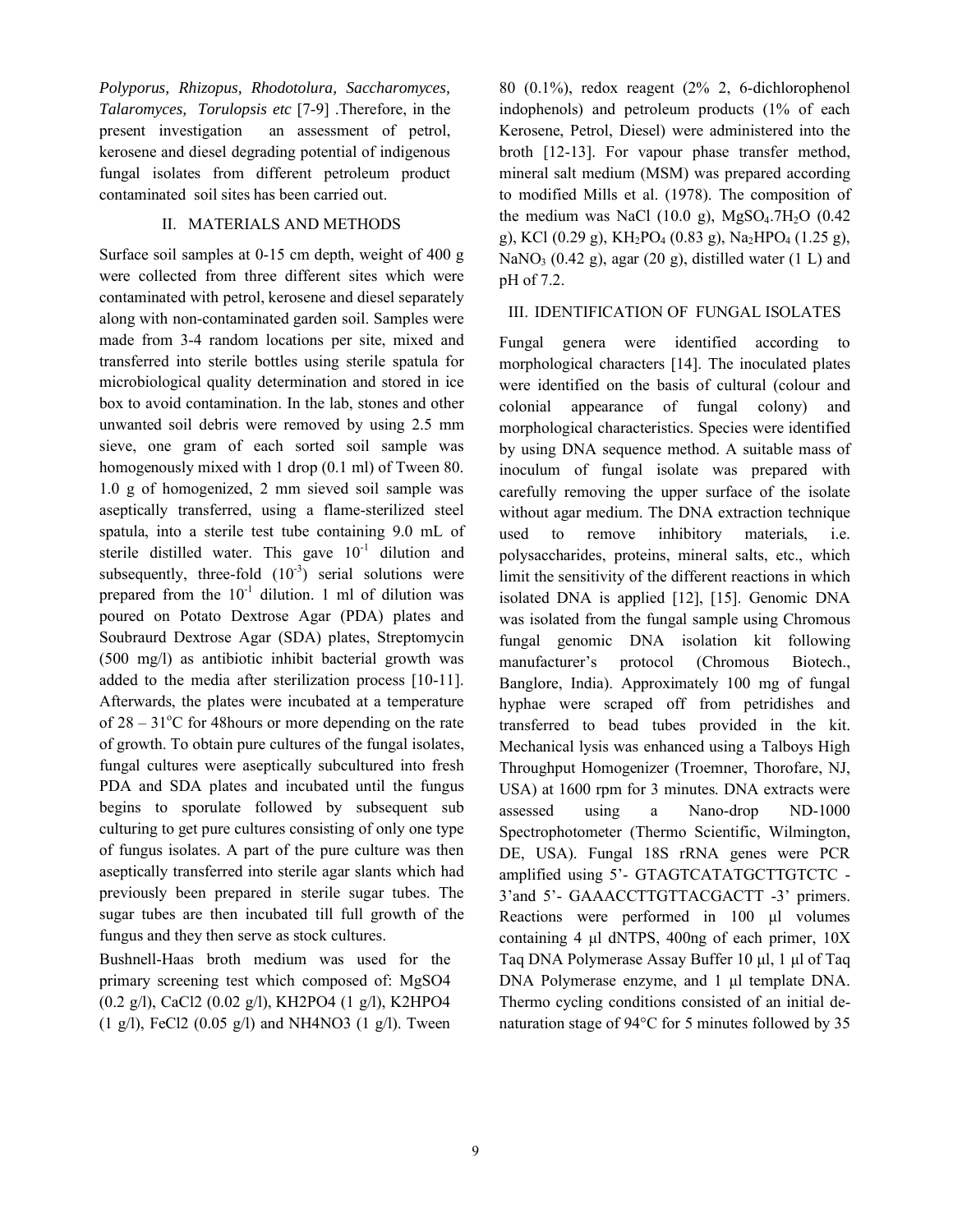*Polyporus, Rhizopus, Rhodotolura, Saccharomyces, Talaromyces, Torulopsis etc* [7-9] .Therefore, in the present investigation an assessment of petrol, kerosene and diesel degrading potential of indigenous fungal isolates from different petroleum product contaminated soil sites has been carried out.

#### II. MATERIALS AND METHODS

Surface soil samples at 0-15 cm depth, weight of 400 g were collected from three different sites which were contaminated with petrol, kerosene and diesel separately along with non-contaminated garden soil. Samples were made from 3-4 random locations per site, mixed and transferred into sterile bottles using sterile spatula for microbiological quality determination and stored in ice box to avoid contamination. In the lab, stones and other unwanted soil debris were removed by using 2.5 mm sieve, one gram of each sorted soil sample was homogenously mixed with 1 drop (0.1 ml) of Tween 80. 1.0 g of homogenized, 2 mm sieved soil sample was aseptically transferred, using a flame-sterilized steel spatula, into a sterile test tube containing 9.0 mL of sterile distilled water. This gave  $10^{-1}$  dilution and subsequently, three-fold  $(10^{-3})$  serial solutions were prepared from the  $10^{-1}$  dilution. 1 ml of dilution was poured on Potato Dextrose Agar (PDA) plates and Soubraurd Dextrose Agar (SDA) plates, Streptomycin (500 mg/l) as antibiotic inhibit bacterial growth was added to the media after sterilization process [10-11]. Afterwards, the plates were incubated at a temperature of  $28 - 31^{\circ}$ C for 48 hours or more depending on the rate of growth. To obtain pure cultures of the fungal isolates, fungal cultures were aseptically subcultured into fresh PDA and SDA plates and incubated until the fungus begins to sporulate followed by subsequent sub culturing to get pure cultures consisting of only one type of fungus isolates. A part of the pure culture was then aseptically transferred into sterile agar slants which had previously been prepared in sterile sugar tubes. The sugar tubes are then incubated till full growth of the fungus and they then serve as stock cultures.

Bushnell-Haas broth medium was used for the primary screening test which composed of: MgSO4 (0.2 g/l), CaCl2 (0.02 g/l), KH2PO4 (1 g/l), K2HPO4 (1 g/l), FeCl2 (0.05 g/l) and NH4NO3 (1 g/l). Tween 80 (0.1%), redox reagent (2% 2, 6-dichlorophenol indophenols) and petroleum products (1% of each Kerosene, Petrol, Diesel) were administered into the broth [12-13]. For vapour phase transfer method, mineral salt medium (MSM) was prepared according to modified Mills et al. (1978). The composition of the medium was NaCl (10.0 g),  $MgSO<sub>4</sub>$ .7H<sub>2</sub>O (0.42) g), KCl (0.29 g), KH<sub>2</sub>PO<sub>4</sub> (0.83 g), Na<sub>2</sub>HPO<sub>4</sub> (1.25 g), NaNO<sub>3</sub> (0.42 g), agar (20 g), distilled water (1 L) and pH of 7.2.

#### III. IDENTIFICATION OF FUNGAL ISOLATES

Fungal genera were identified according to morphological characters [14]. The inoculated plates were identified on the basis of cultural (colour and colonial appearance of fungal colony) and morphological characteristics. Species were identified by using DNA sequence method. A suitable mass of inoculum of fungal isolate was prepared with carefully removing the upper surface of the isolate without agar medium. The DNA extraction technique used to remove inhibitory materials, i.e. polysaccharides, proteins, mineral salts, etc., which limit the sensitivity of the different reactions in which isolated DNA is applied [12], [15]. Genomic DNA was isolated from the fungal sample using Chromous fungal genomic DNA isolation kit following manufacturer's protocol (Chromous Biotech., Banglore, India). Approximately 100 mg of fungal hyphae were scraped off from petridishes and transferred to bead tubes provided in the kit. Mechanical lysis was enhanced using a Talboys High Throughput Homogenizer (Troemner, Thorofare, NJ, USA) at 1600 rpm for 3 minutes. DNA extracts were assessed using a Nano-drop ND-1000 Spectrophotometer (Thermo Scientific, Wilmington, DE, USA). Fungal 18S rRNA genes were PCR amplified using 5'- GTAGTCATATGCTTGTCTC - 3'and 5'- GAAACCTTGTTACGACTT -3' primers. Reactions were performed in 100 μl volumes containing 4 μl dNTPS, 400ng of each primer, 10X Taq DNA Polymerase Assay Buffer 10 μl, 1 μl of Taq DNA Polymerase enzyme, and 1 μl template DNA. Thermo cycling conditions consisted of an initial denaturation stage of 94°C for 5 minutes followed by 35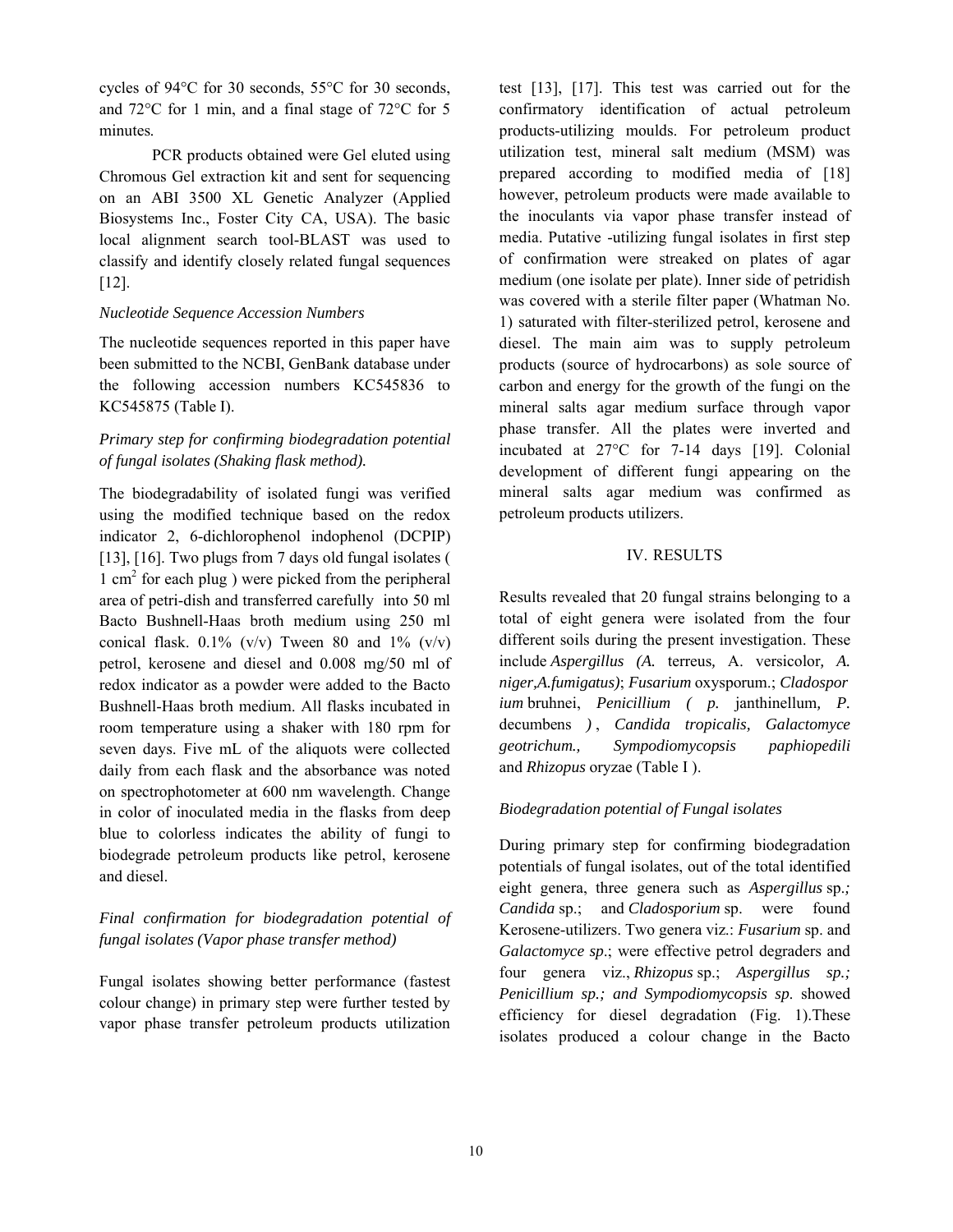cycles of 94°C for 30 seconds, 55°C for 30 seconds, and 72°C for 1 min, and a final stage of 72°C for 5 minutes.

PCR products obtained were Gel eluted using Chromous Gel extraction kit and sent for sequencing on an ABI 3500 XL Genetic Analyzer (Applied Biosystems Inc., Foster City CA, USA). The basic local alignment search tool-BLAST was used to classify and identify closely related fungal sequences [12].

#### *Nucleotide Sequence Accession Numbers*

The nucleotide sequences reported in this paper have been submitted to the NCBI, GenBank database under the following accession numbers KC545836 to KC545875 (Table I).

## *Primary step for confirming biodegradation potential of fungal isolates (Shaking flask method).*

The biodegradability of isolated fungi was verified using the modified technique based on the redox indicator 2, 6-dichlorophenol indophenol (DCPIP) [13], [16]. Two plugs from 7 days old fungal isolates (  $1 \text{ cm}^2$  for each plug) were picked from the peripheral area of petri-dish and transferred carefully into 50 ml Bacto Bushnell-Haas broth medium using 250 ml conical flask.  $0.1\%$  (v/v) Tween 80 and 1% (v/v) petrol, kerosene and diesel and 0.008 mg/50 ml of redox indicator as a powder were added to the Bacto Bushnell-Haas broth medium. All flasks incubated in room temperature using a shaker with 180 rpm for seven days. Five mL of the aliquots were collected daily from each flask and the absorbance was noted on spectrophotometer at 600 nm wavelength. Change in color of inoculated media in the flasks from deep blue to colorless indicates the ability of fungi to biodegrade petroleum products like petrol, kerosene and diesel.

## *Final confirmation for biodegradation potential of fungal isolates (Vapor phase transfer method)*

Fungal isolates showing better performance (fastest colour change) in primary step were further tested by vapor phase transfer petroleum products utilization test [13], [17]. This test was carried out for the confirmatory identification of actual petroleum products-utilizing moulds. For petroleum product utilization test, mineral salt medium (MSM) was prepared according to modified media of [18] however, petroleum products were made available to the inoculants via vapor phase transfer instead of media. Putative -utilizing fungal isolates in first step of confirmation were streaked on plates of agar medium (one isolate per plate). Inner side of petridish was covered with a sterile filter paper (Whatman No. 1) saturated with filter-sterilized petrol, kerosene and diesel. The main aim was to supply petroleum products (source of hydrocarbons) as sole source of carbon and energy for the growth of the fungi on the mineral salts agar medium surface through vapor phase transfer. All the plates were inverted and incubated at 27°C for 7-14 days [19]. Colonial development of different fungi appearing on the mineral salts agar medium was confirmed as petroleum products utilizers.

#### IV. RESULTS

Results revealed that 20 fungal strains belonging to a total of eight genera were isolated from the four different soils during the present investigation. These include *Aspergillus (A.* terreus*,* A. versicolor*, A. niger,A.fumigatus)*; *Fusarium* oxysporum.; *Cladospor ium* bruhnei, *Penicillium ( p.* janthinellum*, P.* decumbens *)* , *Candida tropicalis, Galactomyce geotrichum., Sympodiomycopsis paphiopedili* and *Rhizopus* oryzae (Table I ).

#### *Biodegradation potential of Fungal isolates*

During primary step for confirming biodegradation potentials of fungal isolates, out of the total identified eight genera, three genera such as *Aspergillus* sp.*; Candida* sp.; and *Cladosporium* sp. were found Kerosene-utilizers. Two genera viz.: *Fusarium* sp. and *Galactomyce sp*.; were effective petrol degraders and four genera viz., *Rhizopus* sp.; *Aspergillus sp.; Penicillium sp.; and Sympodiomycopsis sp*. showed efficiency for diesel degradation (Fig. 1).These isolates produced a colour change in the Bacto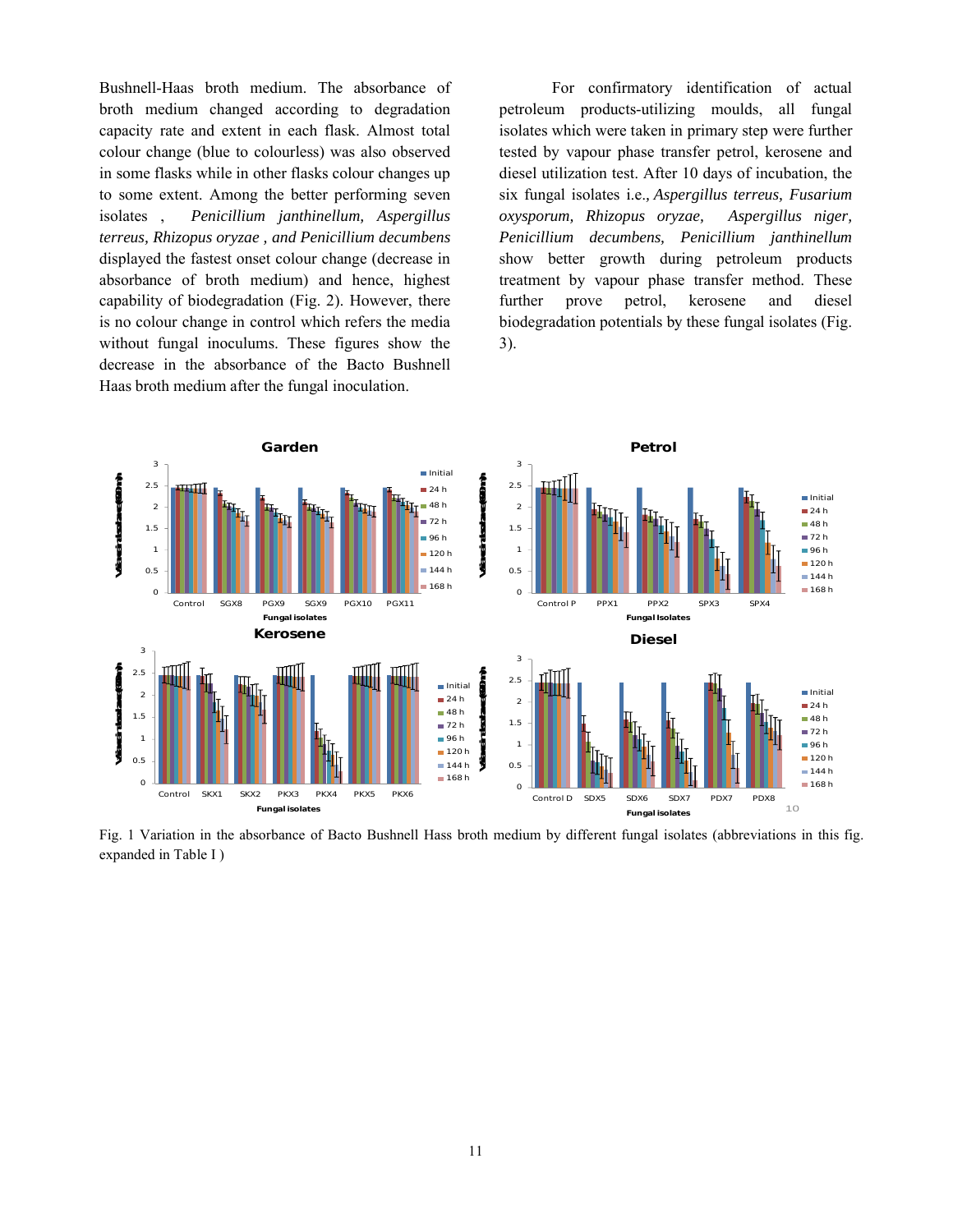Bushnell-Haas broth medium. The absorbance of broth medium changed according to degradation capacity rate and extent in each flask. Almost total colour change (blue to colourless) was also observed in some flasks while in other flasks colour changes up to some extent. Among the better performing seven isolates , *Penicillium janthinellum, Aspergillus terreus, Rhizopus oryzae , and Penicillium decumbens* displayed the fastest onset colour change (decrease in absorbance of broth medium) and hence, highest capability of biodegradation (Fig. 2). However, there is no colour change in control which refers the media without fungal inoculums. These figures show the decrease in the absorbance of the Bacto Bushnell Haas broth medium after the fungal inoculation.

For confirmatory identification of actual petroleum products-utilizing moulds, all fungal isolates which were taken in primary step were further tested by vapour phase transfer petrol, kerosene and diesel utilization test. After 10 days of incubation, the six fungal isolates i.e.*, Aspergillus terreus, Fusarium oxysporum, Rhizopus oryzae, Aspergillus niger, Penicillium decumbens, Penicillium janthinellum*  show better growth during petroleum products treatment by vapour phase transfer method. These further prove petrol, kerosene and diesel biodegradation potentials by these fungal isolates (Fig. 3).



Fig. 1 Variation in the absorbance of Bacto Bushnell Hass broth medium by different fungal isolates (abbreviations in this fig. expanded in Table I )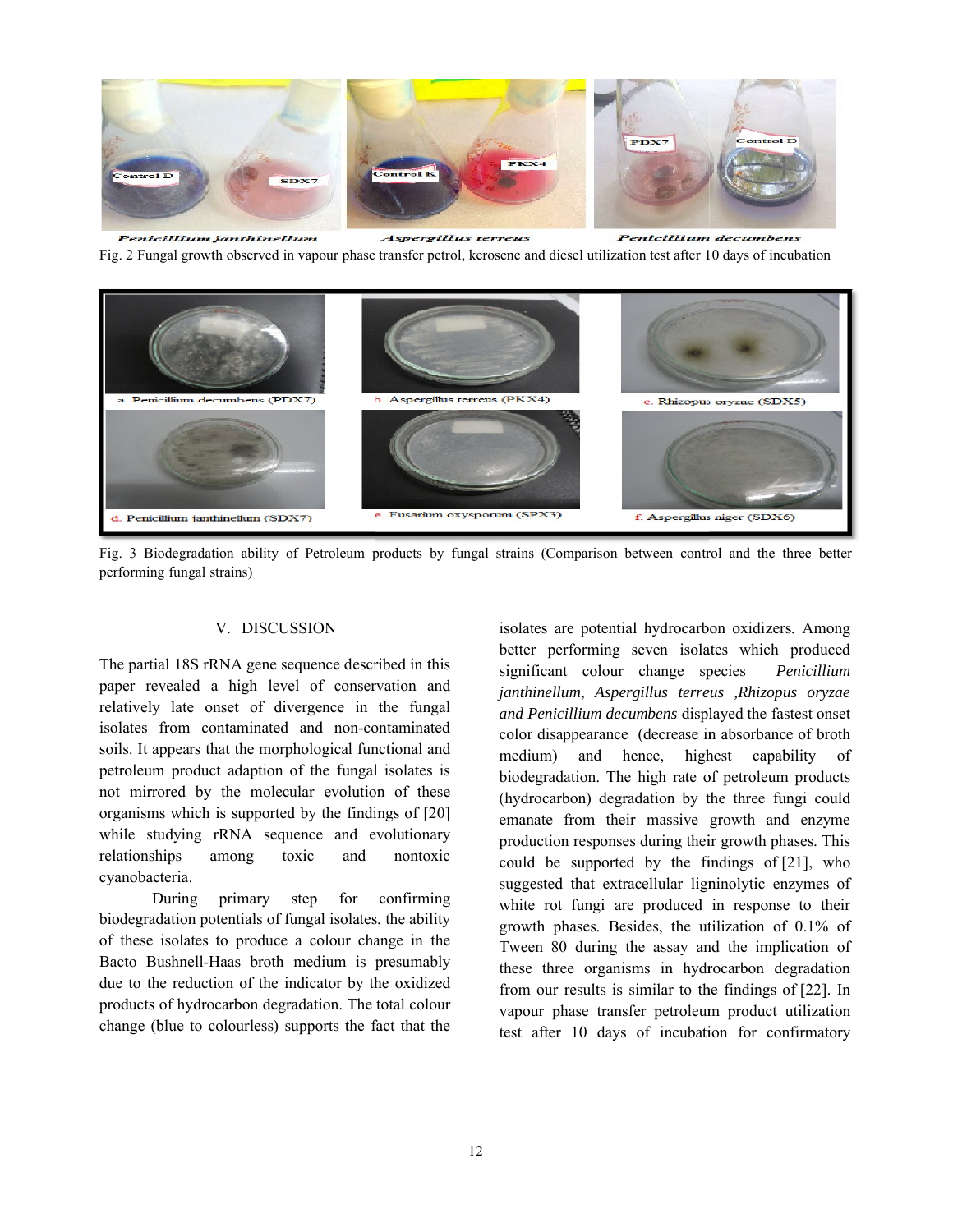

Penicillium janthinellum Aspergillus terreus **Penicillium decumbens** Fig. 2 Fungal growth observed in vapour phase transfer petrol, kerosene and diesel utilization test after 10 days of incubation



Fig. 3 Biodegradation ability of Petroleum products by fungal strains (Comparison between control and the three better performing fungal strains)

#### V. DISCUSSION

The partial 18S rRNA gene sequence described in this paper revealed a high level of conservation and relatively late onset of divergence in the fungal isolates from contaminated and non-contaminated soils. It appears that the morphological functional and petroleum product adaption of the fungal isolates is not mirrored by the molecular evolution of these organisms which is supported by the findings of while studying rRNA sequence and evolutionary relationships among toxic and nontoxic cyanobacteria. isolates from contaminated and non-contaminated<br>soils. It appears that the morphological functional and<br>petroleum product adaption of the fungal isolates is<br>not mirrored by the molecular evolution of these<br>organisms which

During primary step for confirming biodegradation potentials of fungal isolates, the ability relationships among toxic and nontoxic<br>
cyanobacteria.<br>
During primary step for confirming<br>
biodegradation potentials of fungal isolates, the ability<br>
of these isolates to produce a colour change in the Bacto Bushnell-Haas broth medium is presumably due to the reduction of the indicator by the oxidized products of hydrocarbon degradation. The total colour change (blue to colourless) supports the fact that the

V. DISCUSSION<br>
RNA gene sequence described in this<br>
a high level of conservation and<br>
and here performing seven isolates<br>
and perioditium external signal<br>
ontaminated and non-contaminated<br>
and Perioditium decumbens display better performing seven isolates which produced significant colour change species *janthinellum*, *Aspergillus terreus ,Rhizopus oryzae illus and Penicillium decumbens* displayed the fastest onset color disappearance (decrease in absorbance of broth medium) and hence, highest capability of biodegradation. The high rate of petroleum products (hydrocarbon) degradation by the three fungi could emanate from their massive growth and enzyme emanate from their massive growth and enzyme production responses during their growth phases. This could be supported by the findings of  $[21]$ , who suggested that extracellular ligninolytic enzymes of white rot fungi are produced in response to their growth phases. Besides, the utilization of 0.1% of Tween 80 during the assay and the implication of these three organisms in hydrocarbon degradation from our results is similar to the findings of [22]. In vapour phase transfer petroleum product utilization test after 10 days of incubation for confirmatory isolates are potential hydrocarbon oxidizers. Among *Penicillium*  Penicillium decumbens displayed the fastest onset<br>disappearance (decrease in absorbance of broth<br>um) and hence, highest capability of<br>gradation. The high rate of petroleum products<br>ocarbon) degradation by the three fungi c white rot fungi are produced in response to their growth phases. Besides, the utilization of  $0.1\%$  of Tween 80 during the assay and the implication of these three organisms in hydrocarbon degradation from our results is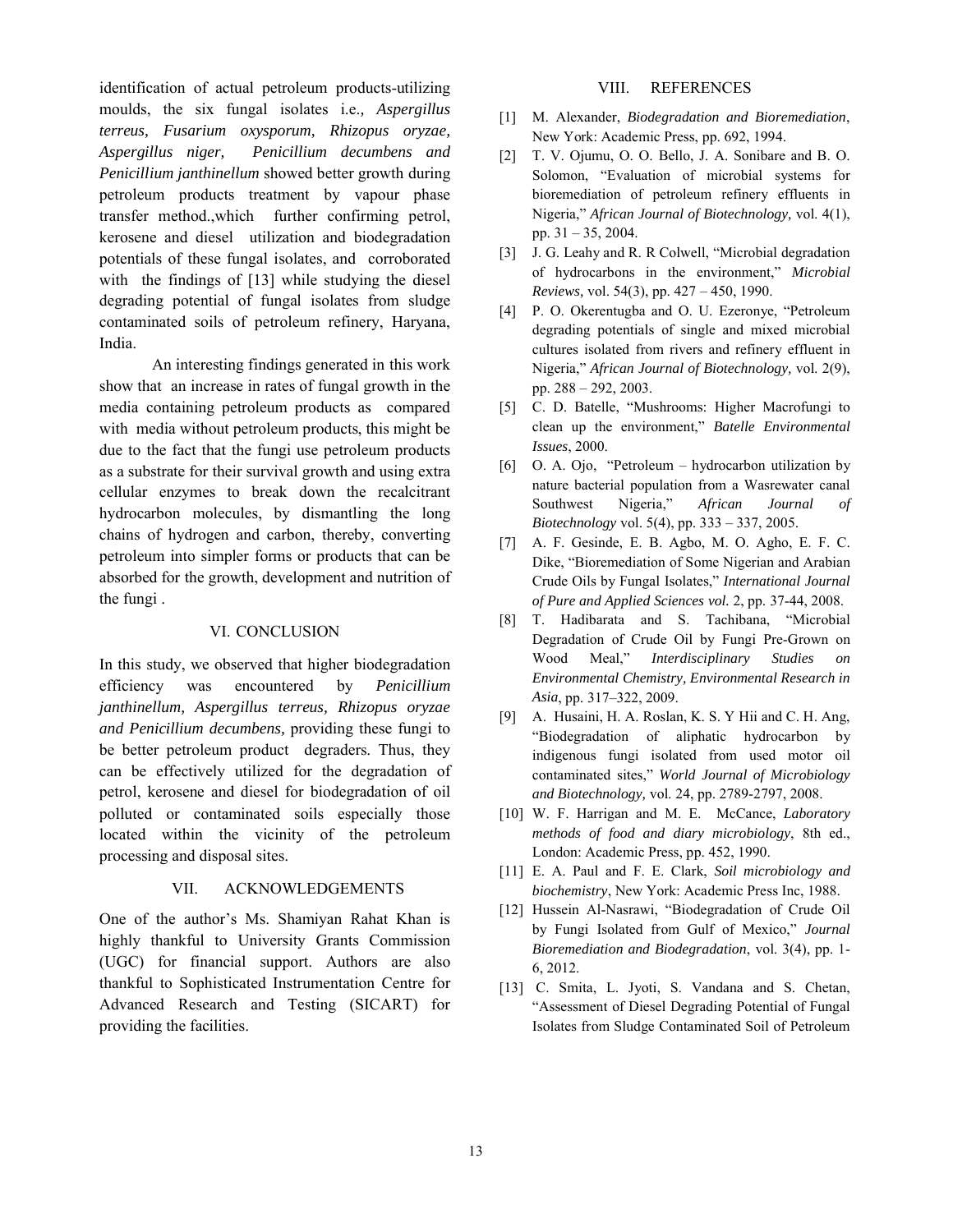identification of actual petroleum products-utilizing moulds, the six fungal isolates i.e.*, Aspergillus terreus, Fusarium oxysporum, Rhizopus oryzae, Aspergillus niger, Penicillium decumbens and Penicillium janthinellum* showed better growth during petroleum products treatment by vapour phase transfer method.,which further confirming petrol, kerosene and diesel utilization and biodegradation potentials of these fungal isolates, and corroborated with the findings of [13] while studying the diesel degrading potential of fungal isolates from sludge contaminated soils of petroleum refinery, Haryana, India.

An interesting findings generated in this work show that an increase in rates of fungal growth in the media containing petroleum products as compared with media without petroleum products, this might be due to the fact that the fungi use petroleum products as a substrate for their survival growth and using extra cellular enzymes to break down the recalcitrant hydrocarbon molecules, by dismantling the long chains of hydrogen and carbon, thereby, converting petroleum into simpler forms or products that can be absorbed for the growth, development and nutrition of the fungi .

#### VI. CONCLUSION

In this study, we observed that higher biodegradation efficiency was encountered by *Penicillium janthinellum, Aspergillus terreus, Rhizopus oryzae and Penicillium decumbens,* providing these fungi to be better petroleum product degraders. Thus, they can be effectively utilized for the degradation of petrol, kerosene and diesel for biodegradation of oil polluted or contaminated soils especially those located within the vicinity of the petroleum processing and disposal sites.

#### VII. ACKNOWLEDGEMENTS

One of the author's Ms. Shamiyan Rahat Khan is highly thankful to University Grants Commission (UGC) for financial support. Authors are also thankful to Sophisticated Instrumentation Centre for Advanced Research and Testing (SICART) for providing the facilities.

#### VIII. REFERENCES

- [1] M. Alexander, *Biodegradation and Bioremediation*, New York: Academic Press, pp. 692, 1994.
- [2] T. V. Ojumu, O. O. Bello, J. A. Sonibare and B. O. Solomon, "Evaluation of microbial systems for bioremediation of petroleum refinery effluents in Nigeria," *African Journal of Biotechnology,* vol. 4(1), pp. 31 – 35, 2004.
- [3] J. G. Leahy and R. R Colwell, "Microbial degradation of hydrocarbons in the environment," *Microbial Reviews,* vol. 54(3), pp. 427 – 450, 1990.
- [4] P. O. Okerentugba and O. U. Ezeronye, "Petroleum degrading potentials of single and mixed microbial cultures isolated from rivers and refinery effluent in Nigeria," *African Journal of Biotechnology,* vol. 2(9), pp. 288 – 292, 2003.
- [5] C. D. Batelle, "Mushrooms: Higher Macrofungi to clean up the environment," *Batelle Environmental Issues*, 2000.
- [6] O. A. Ojo, "Petroleum hydrocarbon utilization by nature bacterial population from a Wasrewater canal Southwest Nigeria," *African Journal of Biotechnology* vol. 5(4), pp. 333 – 337, 2005.
- [7] A. F. Gesinde, E. B. Agbo, M. O. Agho, E. F. C. Dike, "Bioremediation of Some Nigerian and Arabian Crude Oils by Fungal Isolates," *International Journal of Pure and Applied Sciences vol.* 2, pp. 37-44, 2008.
- [8] T. Hadibarata and S. Tachibana, "Microbial Degradation of Crude Oil by Fungi Pre-Grown on Wood Meal," *Interdisciplinary Studies on Environmental Chemistry, Environmental Research in Asia*, pp. 317–322, 2009.
- [9] A. Husaini, H. A. Roslan, K. S. Y Hii and C. H. Ang, "Biodegradation of aliphatic hydrocarbon by indigenous fungi isolated from used motor oil contaminated sites," *World Journal of Microbiology and Biotechnology,* vol. 24, pp. 2789-2797, 2008.
- [10] W. F. Harrigan and M. E. McCance, *Laboratory methods of food and diary microbiology*, 8th ed., London: Academic Press, pp. 452, 1990.
- [11] E. A. Paul and F. E. Clark, *Soil microbiology and biochemistry*, New York: Academic Press Inc, 1988.
- [12] Hussein Al-Nasrawi, "Biodegradation of Crude Oil by Fungi Isolated from Gulf of Mexico," *Journal Bioremediation and Biodegradation*, vol. 3(4), pp. 1- 6, 2012.
- [13] C. Smita, L. Jyoti, S. Vandana and S. Chetan, "Assessment of Diesel Degrading Potential of Fungal Isolates from Sludge Contaminated Soil of Petroleum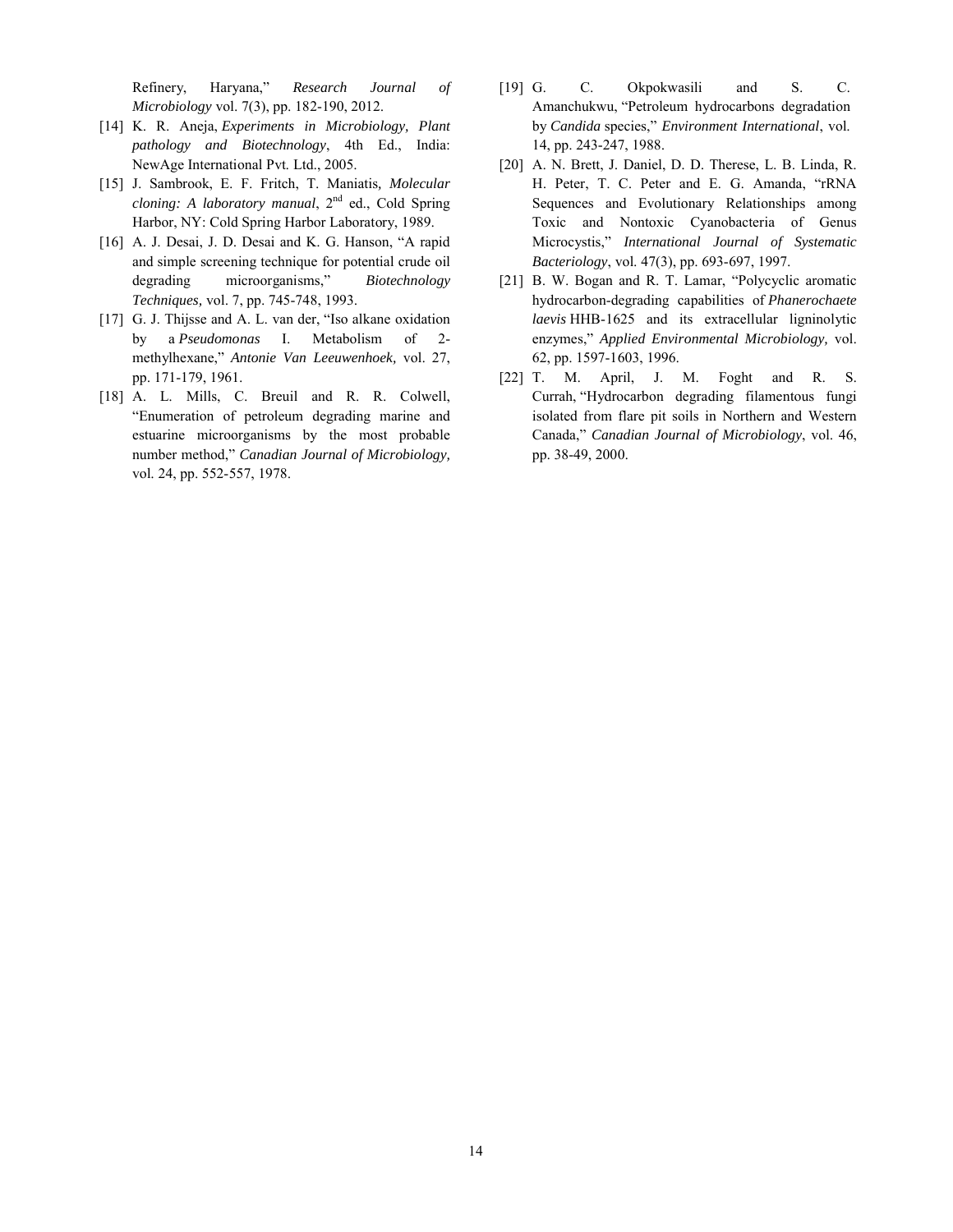Refinery, Haryana," *Research Journal of Microbiology* vol. 7(3), pp. 182-190, 2012.

- [14] K. R. Aneja, *Experiments in Microbiology, Plant pathology and Biotechnology*, 4th Ed., India: NewAge International Pvt. Ltd., 2005.
- [15] J. Sambrook, E. F. Fritch, T. Maniatis*, Molecular cloning: A laboratory manual*,  $2<sup>nd</sup>$  ed., Cold Spring Harbor, NY: Cold Spring Harbor Laboratory, 1989.
- [16] A. J. Desai, J. D. Desai and K. G. Hanson, "A rapid and simple screening technique for potential crude oil degrading microorganisms," *Biotechnology Techniques,* vol. 7, pp. 745-748, 1993.
- [17] G. J. Thijsse and A. L. van der, "Iso alkane oxidation by a *Pseudomonas* I. Metabolism of 2 methylhexane," *Antonie Van Leeuwenhoek,* vol. 27, pp. 171-179, 1961.
- [18] A. L. Mills, C. Breuil and R. R. Colwell, "Enumeration of petroleum degrading marine and estuarine microorganisms by the most probable number method," *Canadian Journal of Microbiology,* vol. 24, pp. 552-557, 1978.
- [19] G. C. Okpokwasili and S. C. Amanchukwu, "Petroleum hydrocarbons degradation by *Candida* species," *Environment International*, vol. 14, pp. 243-247, 1988.
- [20] A. N. Brett, J. Daniel, D. D. Therese, L. B. Linda, R. H. Peter, T. C. Peter and E. G. Amanda, "rRNA Sequences and Evolutionary Relationships among Toxic and Nontoxic Cyanobacteria of Genus Microcystis," *International Journal of Systematic Bacteriology*, vol. 47(3), pp. 693-697, 1997.
- [21] B. W. Bogan and R. T. Lamar, "Polycyclic aromatic hydrocarbon-degrading capabilities of *Phanerochaete laevis* HHB-1625 and its extracellular ligninolytic enzymes," *Applied Environmental Microbiology,* vol. 62, pp. 1597-1603, 1996.
- [22] T. M. April, J. M. Foght and R. S. Currah, "Hydrocarbon degrading filamentous fungi isolated from flare pit soils in Northern and Western Canada," *Canadian Journal of Microbiology*, vol. 46, pp. 38-49, 2000.